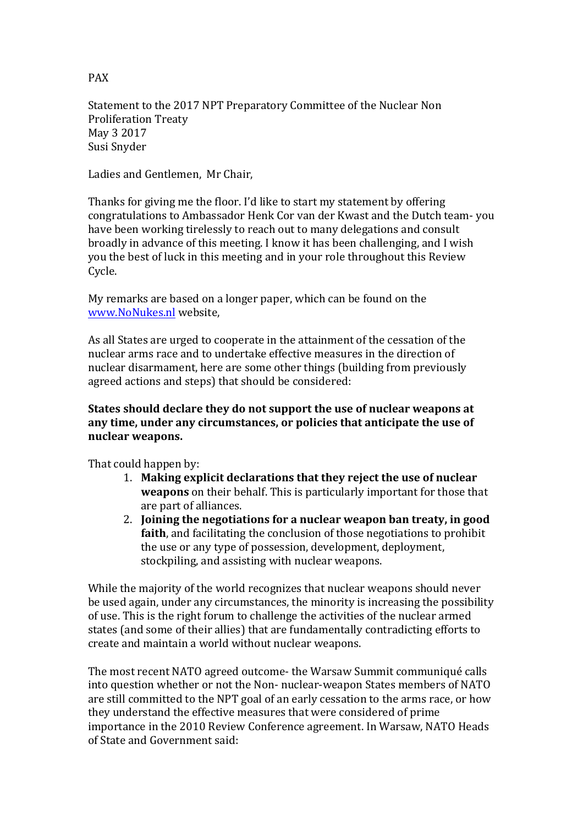Statement to the 2017 NPT Preparatory Committee of the Nuclear Non Proliferation Treaty May 3 2017 Susi Snyder

Ladies and Gentlemen, Mr Chair,

Thanks for giving me the floor. I'd like to start my statement by offering congratulations to Ambassador Henk Cor van der Kwast and the Dutch team- you have been working tirelessly to reach out to many delegations and consult broadly in advance of this meeting. I know it has been challenging, and I wish you the best of luck in this meeting and in your role throughout this Review Cycle.

My remarks are based on a longer paper, which can be found on the www.NoNukes.nl website, 

As all States are urged to cooperate in the attainment of the cessation of the nuclear arms race and to undertake effective measures in the direction of nuclear disarmament, here are some other things (building from previously agreed actions and steps) that should be considered:

## **States should declare they do not support the use of nuclear weapons at** any time, under any circumstances, or policies that anticipate the use of nuclear weapons.

That could happen by:

- 1. Making explicit declarations that they reject the use of nuclear **weapons** on their behalf. This is particularly important for those that are part of alliances.
- 2. **Joining the negotiations for a nuclear weapon ban treaty, in good faith**, and facilitating the conclusion of those negotiations to prohibit the use or any type of possession, development, deployment, stockpiling, and assisting with nuclear weapons.

While the majority of the world recognizes that nuclear weapons should never be used again, under any circumstances, the minority is increasing the possibility of use. This is the right forum to challenge the activities of the nuclear armed states (and some of their allies) that are fundamentally contradicting efforts to create and maintain a world without nuclear weapons.

The most recent NATO agreed outcome- the Warsaw Summit communiqué calls into question whether or not the Non- nuclear-weapon States members of NATO are still committed to the NPT goal of an early cessation to the arms race, or how they understand the effective measures that were considered of prime importance in the 2010 Review Conference agreement. In Warsaw, NATO Heads of State and Government said:

PAX